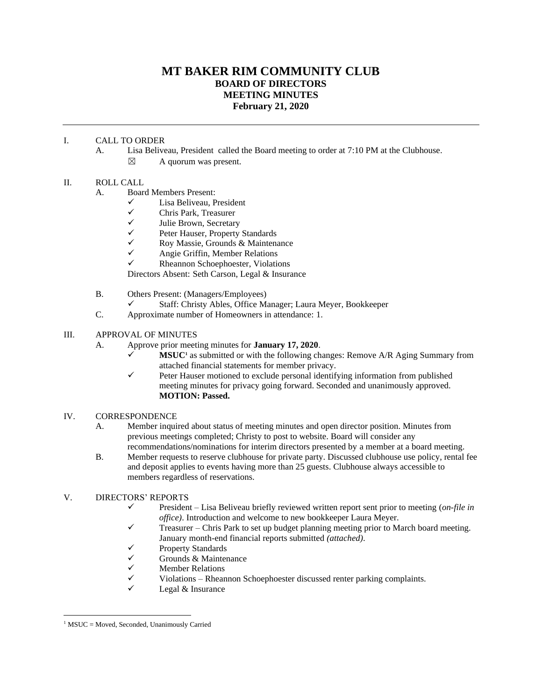# **MT BAKER RIM COMMUNITY CLUB BOARD OF DIRECTORS MEETING MINUTES February 21, 2020**

## I. CALL TO ORDER

- A. Lisa Beliveau, President called the Board meeting to order at 7:10 PM at the Clubhouse.
	- $\boxtimes$  A quorum was present.

## II. ROLL CALL

- ✓ Lisa Beliveau, President
- ✓ Chris Park, Treasurer
- ✓ Julie Brown, Secretary
- ✓ Peter Hauser, Property Standards
- $\checkmark$  Roy Massie, Grounds & Maintenance<br> $\checkmark$  Angie Griffin Member Relations
- ✓ Angie Griffin, Member Relations
- ✓ Rheannon Schoephoester, Violations

Directors Absent: Seth Carson, Legal & Insurance

- B. Others Present: (Managers/Employees)
	- ✓ Staff: Christy Ables, Office Manager; Laura Meyer, Bookkeeper
- C. Approximate number of Homeowners in attendance: 1.

# III. APPROVAL OF MINUTES

- A. Approve prior meeting minutes for **January 17, 2020**.
	- MSUC<sup>1</sup> as submitted or with the following changes: Remove A/R Aging Summary from attached financial statements for member privacy.
	- $\checkmark$  Peter Hauser motioned to exclude personal identifying information from published meeting minutes for privacy going forward. Seconded and unanimously approved. **MOTION: Passed.**

#### IV. CORRESPONDENCE

- A. Member inquired about status of meeting minutes and open director position. Minutes from previous meetings completed; Christy to post to website. Board will consider any recommendations/nominations for interim directors presented by a member at a board meeting.
- B. Member requests to reserve clubhouse for private party. Discussed clubhouse use policy, rental fee and deposit applies to events having more than 25 guests. Clubhouse always accessible to members regardless of reservations.
- V. DIRECTORS' REPORTS
	- ✓ President Lisa Beliveau briefly reviewed written report sent prior to meeting (*on-file in office)*. Introduction and welcome to new bookkeeper Laura Meyer.
	- Treasurer Chris Park to set up budget planning meeting prior to March board meeting. January month-end financial reports submitted *(attached)*.
	- ✓ Property Standards
	- $\checkmark$  Grounds & Maintenance
	- $\checkmark$  Member Relations<br> $\checkmark$  Violations Rhean
	- Violations Rheannon Schoephoester discussed renter parking complaints.
	- Legal & Insurance

A. Board Members Present:

<sup>&</sup>lt;sup>1</sup> MSUC = Moved, Seconded, Unanimously Carried